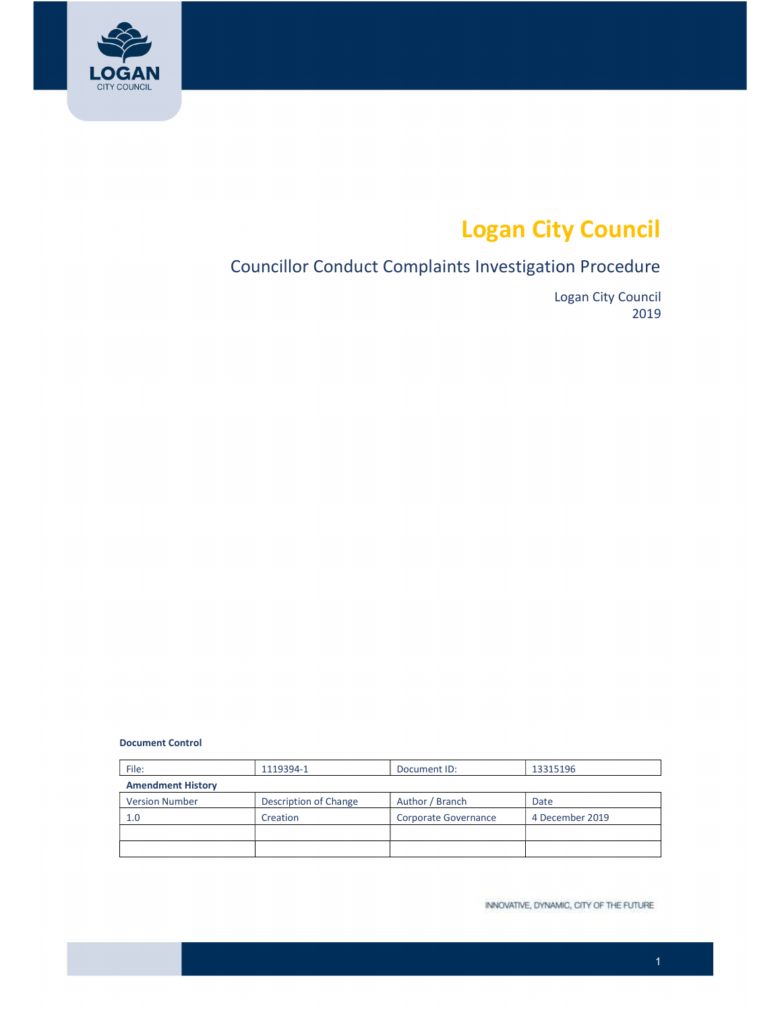

# Logan City Council

# Councillor Conduct Complaints Investigation Procedure

 Logan City Council 2019

Document Control

| File:                    | 1119394-1             | Document ID:         | 13315196        |  |  |  |  |
|--------------------------|-----------------------|----------------------|-----------------|--|--|--|--|
| <b>Amendment History</b> |                       |                      |                 |  |  |  |  |
| <b>Version Number</b>    | Description of Change | Author / Branch      | Date            |  |  |  |  |
| 1.0                      | Creation              | Corporate Governance | 4 December 2019 |  |  |  |  |
|                          |                       |                      |                 |  |  |  |  |
|                          |                       |                      |                 |  |  |  |  |

INNOVATIVE, DYNAMIC, CITY OF THE FUTURE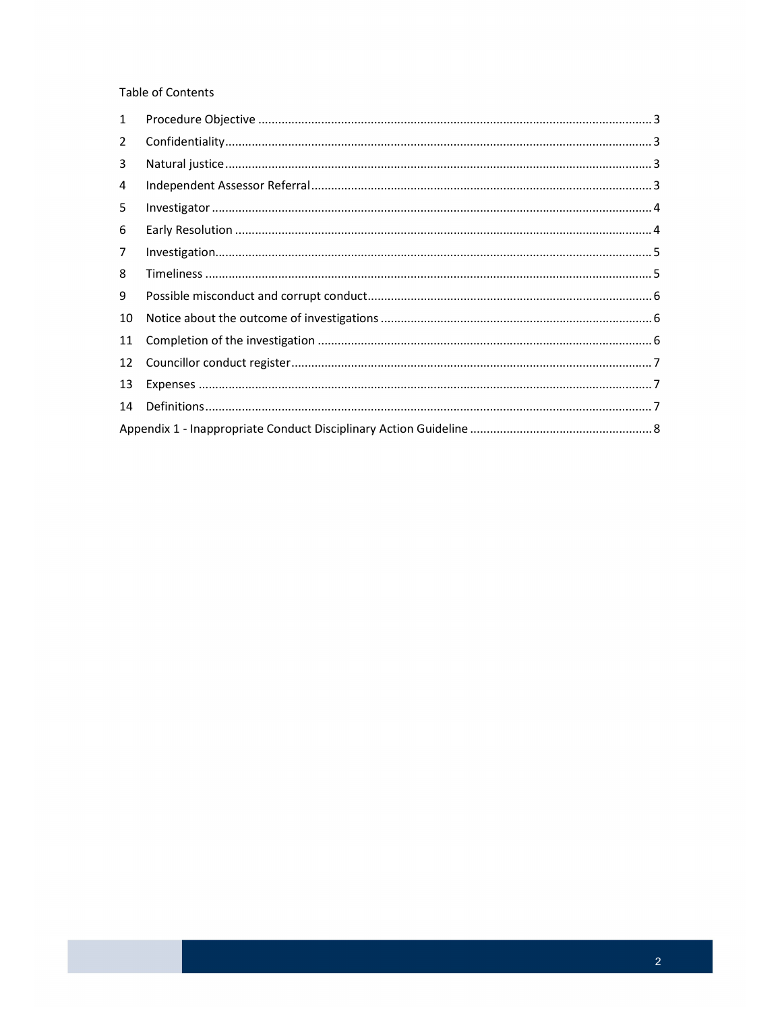Table of Contents

| 1  |  |
|----|--|
| 2  |  |
| 3  |  |
| 4  |  |
| 5  |  |
| 6  |  |
| 7  |  |
| 8  |  |
| 9  |  |
| 10 |  |
| 11 |  |
| 12 |  |
| 13 |  |
| 14 |  |
|    |  |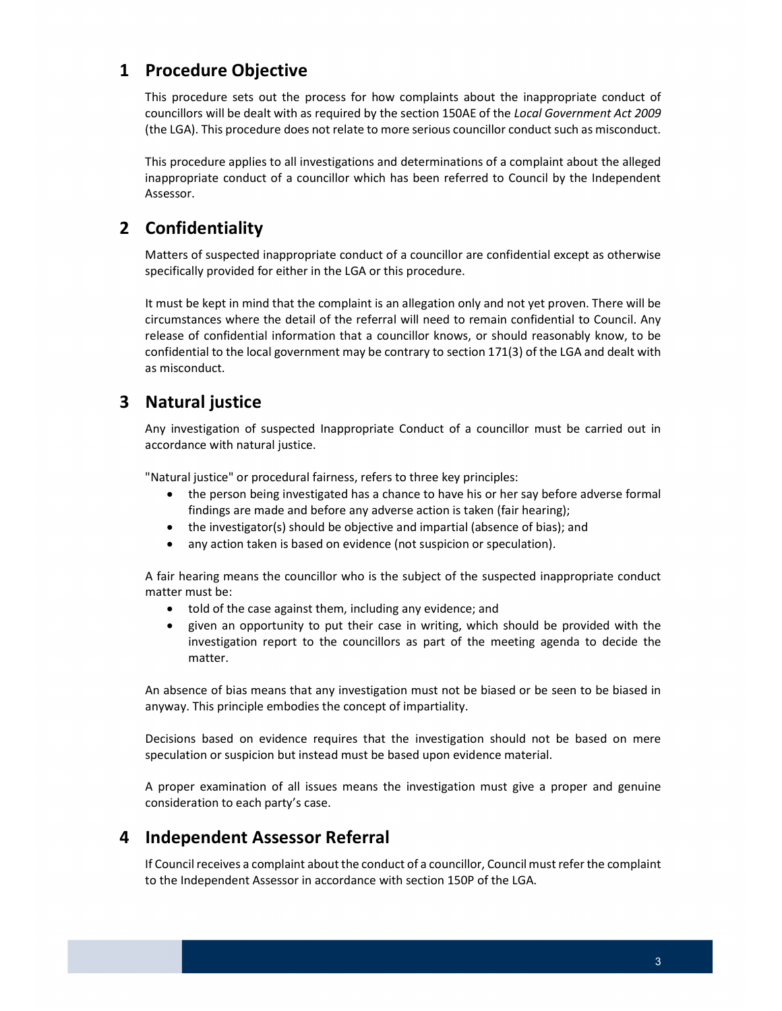# <span id="page-2-0"></span>1 Procedure Objective

 This procedure sets out the process for how complaints about the inappropriate conduct of councillors will be dealt with as required by the section 150AE of the Local Government Act 2009 (the LGA). This procedure does not relate to more serious councillor conduct such as misconduct.

 This procedure applies to all investigations and determinations of a complaint about the alleged inappropriate conduct of a councillor which has been referred to Council by the Independent Assessor.

# 2 Confidentiality

 Matters of suspected inappropriate conduct of a councillor are confidential except as otherwise specifically provided for either in the LGA or this procedure.

 It must be kept in mind that the complaint is an allegation only and not yet proven. There will be circumstances where the detail of the referral will need to remain confidential to Council. Any release of confidential information that a councillor knows, or should reasonably know, to be confidential to the local government may be contrary to section 171(3) of the LGA and dealt with as misconduct.

# 3 Natural justice

 Any investigation of suspected Inappropriate Conduct of a councillor must be carried out in accordance with natural justice.

"Natural justice" or procedural fairness, refers to three key principles:

- the person being investigated has a chance to have his or her say before adverse formal findings are made and before any adverse action is taken (fair hearing);
- the investigator(s) should be objective and impartial (absence of bias); and
- any action taken is based on evidence (not suspicion or speculation).

 A fair hearing means the councillor who is the subject of the suspected inappropriate conduct matter must be:

- told of the case against them, including any evidence; and
- given an opportunity to put their case in writing, which should be provided with the investigation report to the councillors as part of the meeting agenda to decide the matter.

 An absence of bias means that any investigation must not be biased or be seen to be biased in anyway. This principle embodies the concept of impartiality.

 Decisions based on evidence requires that the investigation should not be based on mere speculation or suspicion but instead must be based upon evidence material.

 A proper examination of all issues means the investigation must give a proper and genuine consideration to each party's case.

### 4 Independent Assessor Referral

If Council receives a complaint about the conduct of a councillor, Council must refer the complaint to the Independent Assessor in accordance with section 150P of the LGA.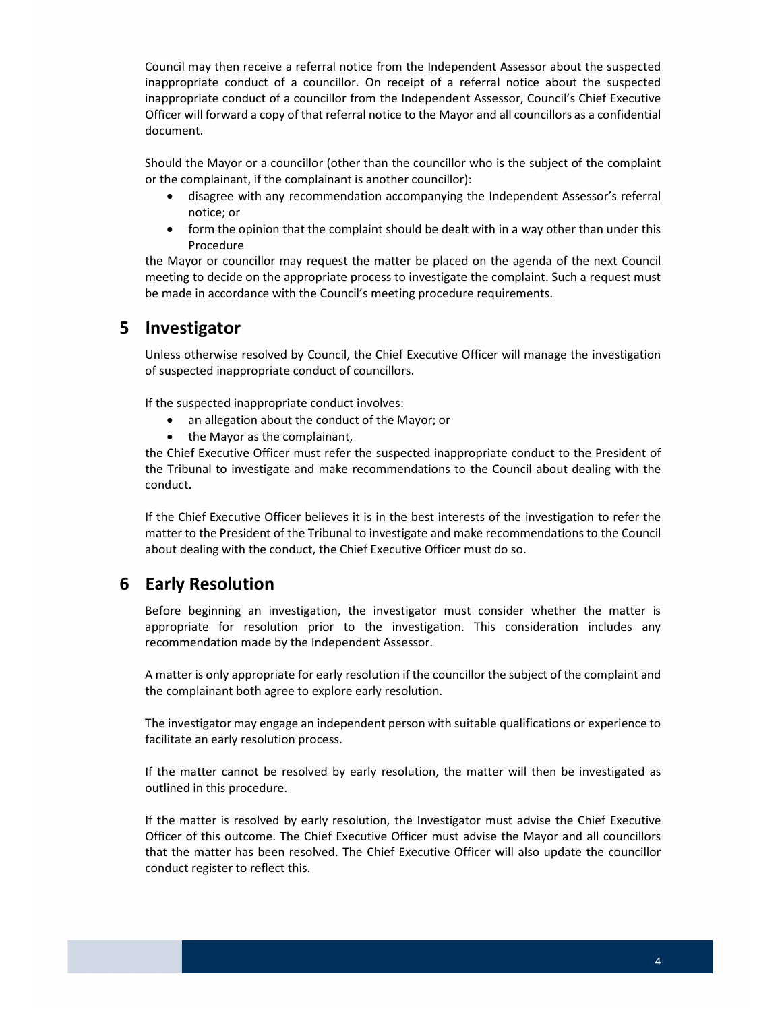<span id="page-3-0"></span> Council may then receive a referral notice from the Independent Assessor about the suspected inappropriate conduct of a councillor. On receipt of a referral notice about the suspected inappropriate conduct of a councillor from the Independent Assessor, Council's Chief Executive Officer will forward a copy of that referral notice to the Mayor and all councillors as a confidential document.

 Should the Mayor or a councillor (other than the councillor who is the subject of the complaint or the complainant, if the complainant is another councillor):

- disagree with any recommendation accompanying the Independent Assessor's referral notice; or
- form the opinion that the complaint should be dealt with in a way other than under this Procedure

the Mayor or councillor may request the matter be placed on the agenda of the next Council meeting to decide on the appropriate process to investigate the complaint. Such a request must be made in accordance with the Council's meeting procedure requirements.

### 5 Investigator

 Unless otherwise resolved by Council, the Chief Executive Officer will manage the investigation of suspected inappropriate conduct of councillors.

If the suspected inappropriate conduct involves:

- an allegation about the conduct of the Mayor; or
- the Mayor as the complainant,

the Chief Executive Officer must refer the suspected inappropriate conduct to the President of the Tribunal to investigate and make recommendations to the Council about dealing with the conduct.

 If the Chief Executive Officer believes it is in the best interests of the investigation to refer the matter to the President of the Tribunal to investigate and make recommendations to the Council about dealing with the conduct, the Chief Executive Officer must do so.

# 6 Early Resolution

 Before beginning an investigation, the investigator must consider whether the matter is appropriate for resolution prior to the investigation. This consideration includes any recommendation made by the Independent Assessor.

 A matter is only appropriate for early resolution if the councillor the subject of the complaint and the complainant both agree to explore early resolution.

 The investigator may engage an independent person with suitable qualifications or experience to facilitate an early resolution process.

 If the matter cannot be resolved by early resolution, the matter will then be investigated as outlined in this procedure.

 If the matter is resolved by early resolution, the Investigator must advise the Chief Executive Officer of this outcome. The Chief Executive Officer must advise the Mayor and all councillors that the matter has been resolved. The Chief Executive Officer will also update the councillor conduct register to reflect this.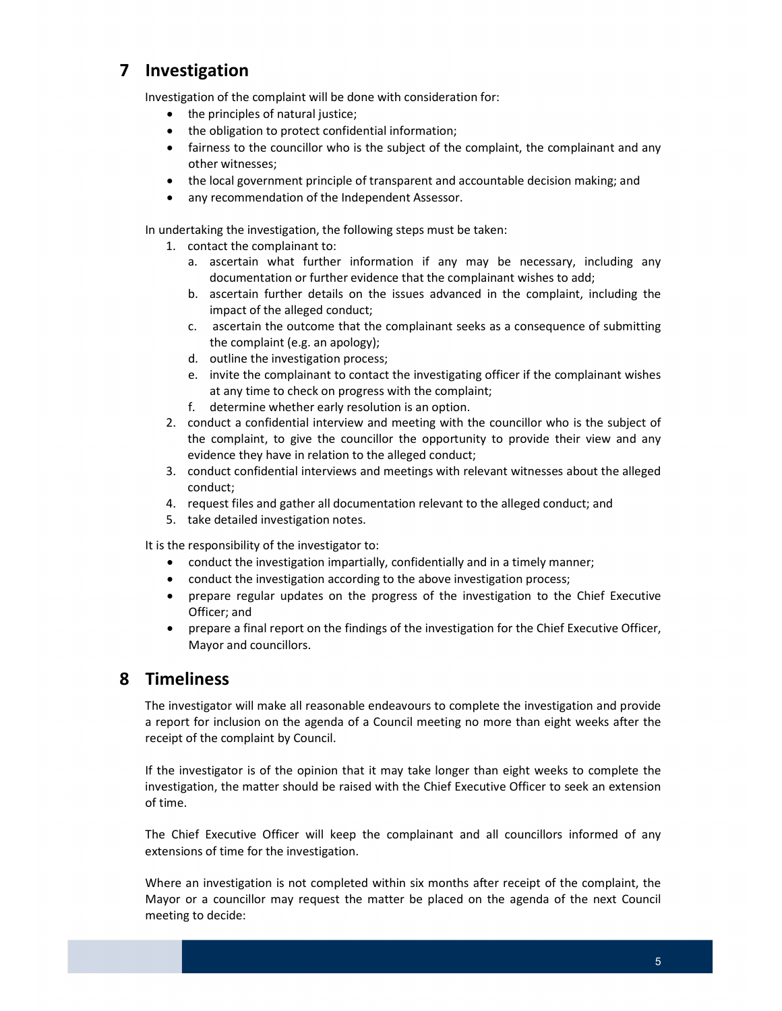# <span id="page-4-0"></span>7 Investigation

Investigation of the complaint will be done with consideration for:

- the principles of natural justice;
- the obligation to protect confidential information;
- fairness to the councillor who is the subject of the complaint, the complainant and any other witnesses;
- the local government principle of transparent and accountable decision making; and
- any recommendation of the Independent Assessor.

In undertaking the investigation, the following steps must be taken:

- 1. contact the complainant to:
	- a. ascertain what further information if any may be necessary, including any documentation or further evidence that the complainant wishes to add;
	- b. ascertain further details on the issues advanced in the complaint, including the impact of the alleged conduct;
	- c. ascertain the outcome that the complainant seeks as a consequence of submitting the complaint (e.g. an apology);
	- d. outline the investigation process;
	- e. invite the complainant to contact the investigating officer if the complainant wishes at any time to check on progress with the complaint;
	- f. determine whether early resolution is an option.
- 2. conduct a confidential interview and meeting with the councillor who is the subject of the complaint, to give the councillor the opportunity to provide their view and any evidence they have in relation to the alleged conduct;
- 3. conduct confidential interviews and meetings with relevant witnesses about the alleged conduct;
- 4. request files and gather all documentation relevant to the alleged conduct; and
- 5. take detailed investigation notes.

It is the responsibility of the investigator to:

- conduct the investigation impartially, confidentially and in a timely manner;
- conduct the investigation according to the above investigation process;
- prepare regular updates on the progress of the investigation to the Chief Executive Officer; and
- prepare a final report on the findings of the investigation for the Chief Executive Officer, Mayor and councillors.

#### 8 Timeliness

 The investigator will make all reasonable endeavours to complete the investigation and provide a report for inclusion on the agenda of a Council meeting no more than eight weeks after the receipt of the complaint by Council.

 If the investigator is of the opinion that it may take longer than eight weeks to complete the investigation, the matter should be raised with the Chief Executive Officer to seek an extension of time.

 The Chief Executive Officer will keep the complainant and all councillors informed of any extensions of time for the investigation.

 Where an investigation is not completed within six months after receipt of the complaint, the Mayor or a councillor may request the matter be placed on the agenda of the next Council meeting to decide: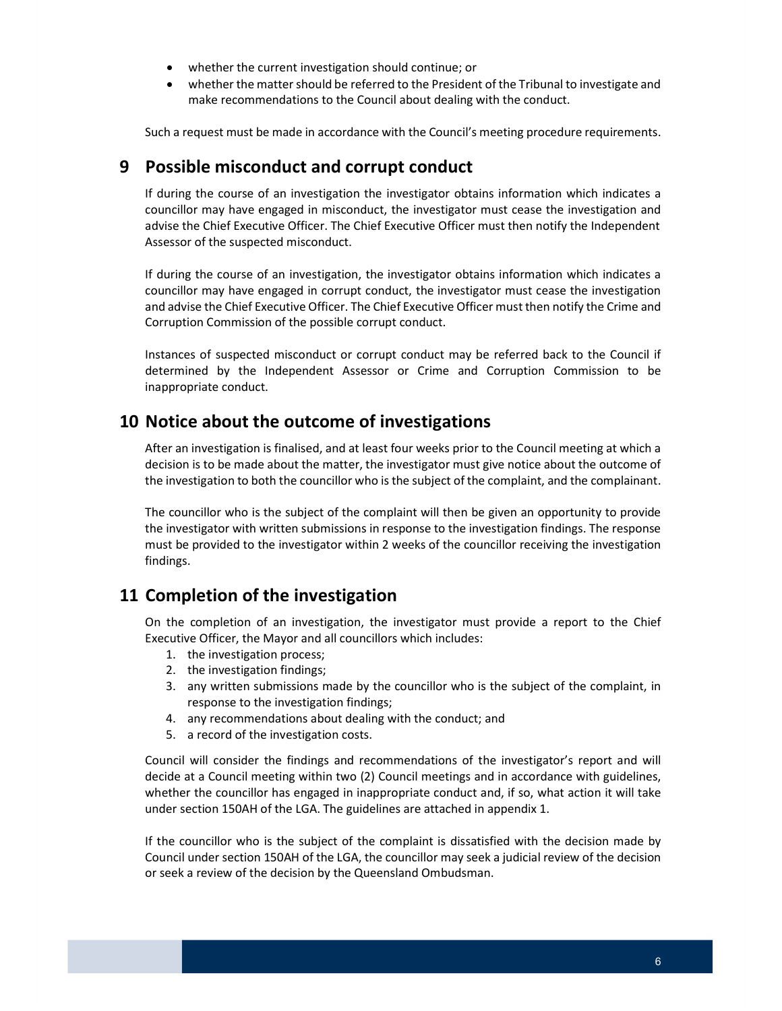- <span id="page-5-0"></span>whether the current investigation should continue; or
- whether the matter should be referred to the President of the Tribunal to investigate and make recommendations to the Council about dealing with the conduct.

Such a request must be made in accordance with the Council's meeting procedure requirements.

### 9 Possible misconduct and corrupt conduct

 If during the course of an investigation the investigator obtains information which indicates a councillor may have engaged in misconduct, the investigator must cease the investigation and advise the Chief Executive Officer. The Chief Executive Officer must then notify the Independent Assessor of the suspected misconduct.

 If during the course of an investigation, the investigator obtains information which indicates a councillor may have engaged in corrupt conduct, the investigator must cease the investigation and advise the Chief Executive Officer. The Chief Executive Officer must then notify the Crime and Corruption Commission of the possible corrupt conduct.

 Instances of suspected misconduct or corrupt conduct may be referred back to the Council if determined by the Independent Assessor or Crime and Corruption Commission to be inappropriate conduct.

### 10 Notice about the outcome of investigations

 After an investigation is finalised, and at least four weeks prior to the Council meeting at which a decision is to be made about the matter, the investigator must give notice about the outcome of the investigation to both the councillor who is the subject of the complaint, and the complainant.

 The councillor who is the subject of the complaint will then be given an opportunity to provide the investigator with written submissions in response to the investigation findings. The response must be provided to the investigator within 2 weeks of the councillor receiving the investigation findings.

# 11 Completion of the investigation

 On the completion of an investigation, the investigator must provide a report to the Chief Executive Officer, the Mayor and all councillors which includes:

- 1. the investigation process;
- 2. the investigation findings;
- 3. any written submissions made by the councillor who is the subject of the complaint, in response to the investigation findings;
- 4. any recommendations about dealing with the conduct; and
- 5. a record of the investigation costs.

 Council will consider the findings and recommendations of the investigator's report and will decide at a Council meeting within two (2) Council meetings and in accordance with guidelines, whether the councillor has engaged in inappropriate conduct and, if so, what action it will take under section 150AH of the LGA. The guidelines are attached in appendix 1.

 If the councillor who is the subject of the complaint is dissatisfied with the decision made by Council under section 150AH of the LGA, the councillor may seek a judicial review of the decision or seek a review of the decision by the Queensland Ombudsman.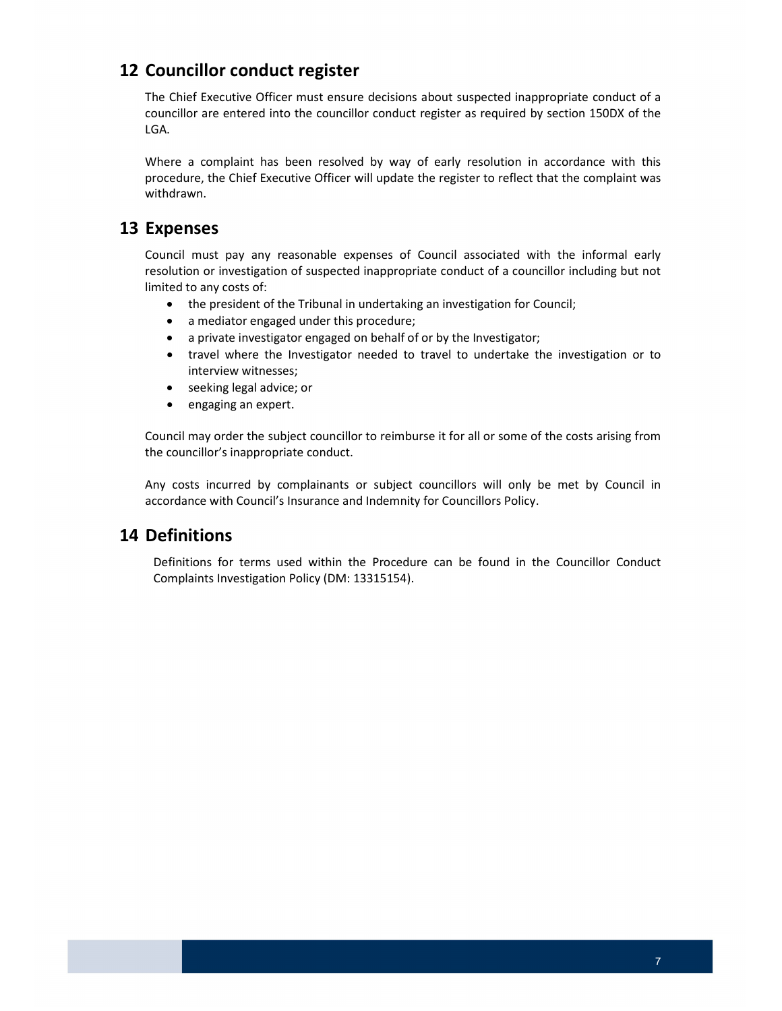# <span id="page-6-0"></span>12 Councillor conduct register

 The Chief Executive Officer must ensure decisions about suspected inappropriate conduct of a councillor are entered into the councillor conduct register as required by section 150DX of the LGA.

 Where a complaint has been resolved by way of early resolution in accordance with this procedure, the Chief Executive Officer will update the register to reflect that the complaint was withdrawn.

### 13 Expenses

 Council must pay any reasonable expenses of Council associated with the informal early resolution or investigation of suspected inappropriate conduct of a councillor including but not limited to any costs of:

- the president of the Tribunal in undertaking an investigation for Council;
- a mediator engaged under this procedure;
- a private investigator engaged on behalf of or by the Investigator;
- travel where the Investigator needed to travel to undertake the investigation or to interview witnesses;
- **•** seeking legal advice; or
- engaging an expert.

 Council may order the subject councillor to reimburse it for all or some of the costs arising from the councillor's inappropriate conduct.

 Any costs incurred by complainants or subject councillors will only be met by Council in accordance with Council's Insurance and Indemnity for Councillors Policy.

# 14 Definitions

 Definitions for terms used within the Procedure can be found in the Councillor Conduct Complaints Investigation Policy (DM: 13315154).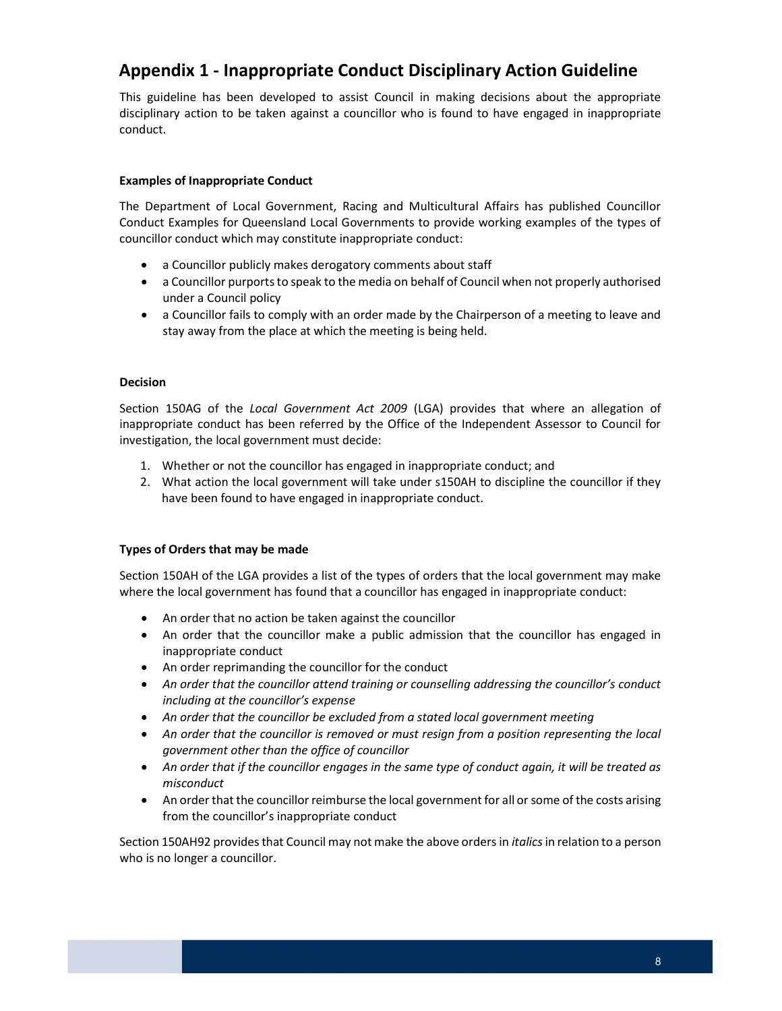# <span id="page-7-0"></span>Appendix 1 - Inappropriate Conduct Disciplinary Action Guideline

 This guideline has been developed to assist Council in making decisions about the appropriate disciplinary action to be taken against a councillor who is found to have engaged in inappropriate conduct.

#### Examples of Inappropriate Conduct

 The Department of Local Government, Racing and Multicultural Affairs has published Councillor Conduct Examples for Queensland Local Governments to provide working examples of the types of councillor conduct which may constitute inappropriate conduct:

- a Councillor publicly makes derogatory comments about staff
- a Councillor purports to speak to the media on behalf of Council when not properly authorised under a Council policy
- a Councillor fails to comply with an order made by the Chairperson of a meeting to leave and stay away from the place at which the meeting is being held.

#### Decision

Section 150AG of the Local Government Act 2009 (LGA) provides that where an allegation of inappropriate conduct has been referred by the Office of the Independent Assessor to Council for investigation, the local government must decide:

- 1. Whether or not the councillor has engaged in inappropriate conduct; and
- 2. What action the local government will take under s150AH to discipline the councillor if they have been found to have engaged in inappropriate conduct.

#### Types of Orders that may be made

 Section 150AH of the LGA provides a list of the types of orders that the local government may make where the local government has found that a councillor has engaged in inappropriate conduct:

- An order that no action be taken against the councillor
- An order that the councillor make a public admission that the councillor has engaged in inappropriate conduct
- An order reprimanding the councillor for the conduct
- An order that the councillor attend training or counselling addressing the councillor's conduct including at the councillor's expense
- An order that the councillor be excluded from a stated local government meeting
- An order that the councillor is removed or must resign from a position representing the local government other than the office of councillor
- An order that if the councillor engages in the same type of conduct again, it will be treated as misconduct
- An order that the councillor reimburse the local government for all or some of the costs arising from the councillor's inappropriate conduct

Section 150AH92 provides that Council may not make the above orders in *italics* in relation to a person who is no longer a councillor.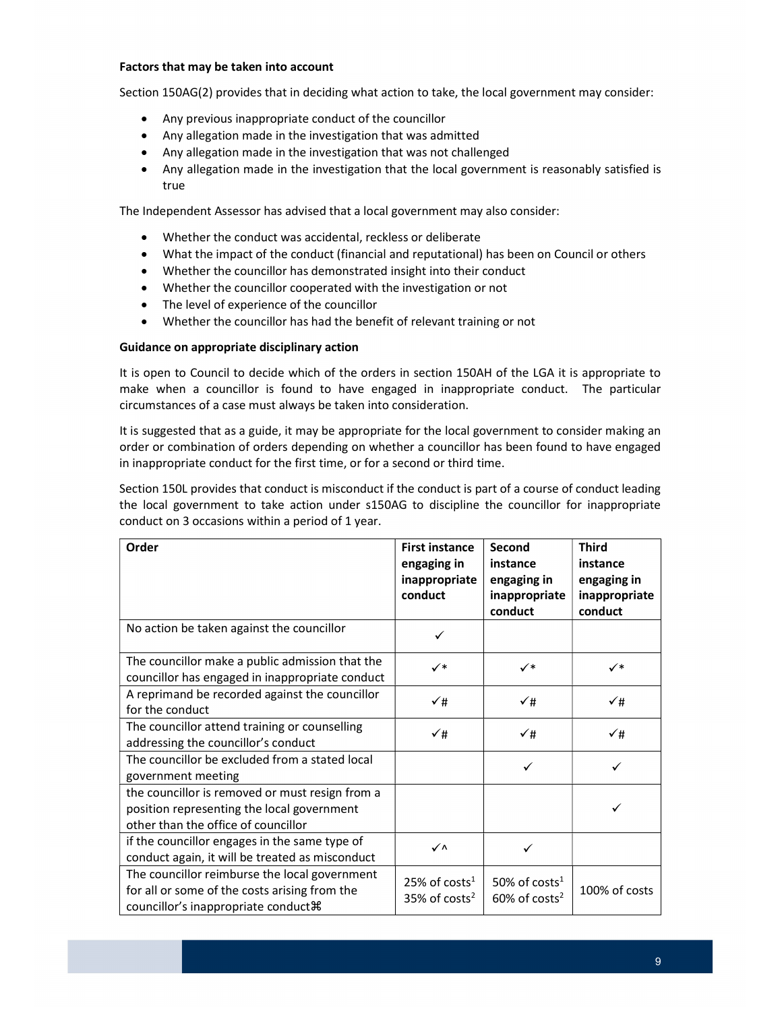#### Factors that may be taken into account

Section 150AG(2) provides that in deciding what action to take, the local government may consider:

- Any previous inappropriate conduct of the councillor
- Any allegation made in the investigation that was admitted
- Any allegation made in the investigation that was not challenged
- Any allegation made in the investigation that the local government is reasonably satisfied is true

The Independent Assessor has advised that a local government may also consider:

- Whether the conduct was accidental, reckless or deliberate
- What the impact of the conduct (financial and reputational) has been on Council or others
- Whether the councillor has demonstrated insight into their conduct
- Whether the councillor cooperated with the investigation or not
- The level of experience of the councillor
- Whether the councillor has had the benefit of relevant training or not

#### Guidance on appropriate disciplinary action

 It is open to Council to decide which of the orders in section 150AH of the LGA it is appropriate to make when a councillor is found to have engaged in inappropriate conduct. The particular circumstances of a case must always be taken into consideration.

 It is suggested that as a guide, it may be appropriate for the local government to consider making an order or combination of orders depending on whether a councillor has been found to have engaged in inappropriate conduct for the first time, or for a second or third time.

 Section 150L provides that conduct is misconduct if the conduct is part of a course of conduct leading the local government to take action under s150AG to discipline the councillor for inappropriate conduct on 3 occasions within a period of 1 year.

| Order                                                                                                                                  | <b>First instance</b><br>engaging in<br>inappropriate<br>conduct | Second<br>instance<br>engaging in<br>inappropriate<br>conduct | <b>Third</b><br>instance<br>engaging in<br>inappropriate<br>conduct |
|----------------------------------------------------------------------------------------------------------------------------------------|------------------------------------------------------------------|---------------------------------------------------------------|---------------------------------------------------------------------|
| No action be taken against the councillor                                                                                              | ✓                                                                |                                                               |                                                                     |
| The councillor make a public admission that the<br>councillor has engaged in inappropriate conduct                                     | ✓∗                                                               | $\checkmark^*$                                                | $\checkmark^*$                                                      |
| A reprimand be recorded against the councillor<br>for the conduct                                                                      | ✓#                                                               | ✓#                                                            | $\checkmark$ #                                                      |
| The councillor attend training or counselling<br>addressing the councillor's conduct                                                   | √#                                                               | ✓#                                                            | $\checkmark$ #                                                      |
| The councillor be excluded from a stated local<br>government meeting                                                                   |                                                                  | ✓                                                             |                                                                     |
| the councillor is removed or must resign from a<br>position representing the local government<br>other than the office of councillor   |                                                                  |                                                               |                                                                     |
| if the councillor engages in the same type of<br>conduct again, it will be treated as misconduct                                       | ✓⋀                                                               | ✓                                                             |                                                                     |
| The councillor reimburse the local government<br>for all or some of the costs arising from the<br>councillor's inappropriate conduct # | 25% of costs <sup>1</sup><br>$35\%$ of costs <sup>2</sup>        | 50% of costs <sup>1</sup><br>$60\%$ of costs <sup>2</sup>     | 100% of costs                                                       |